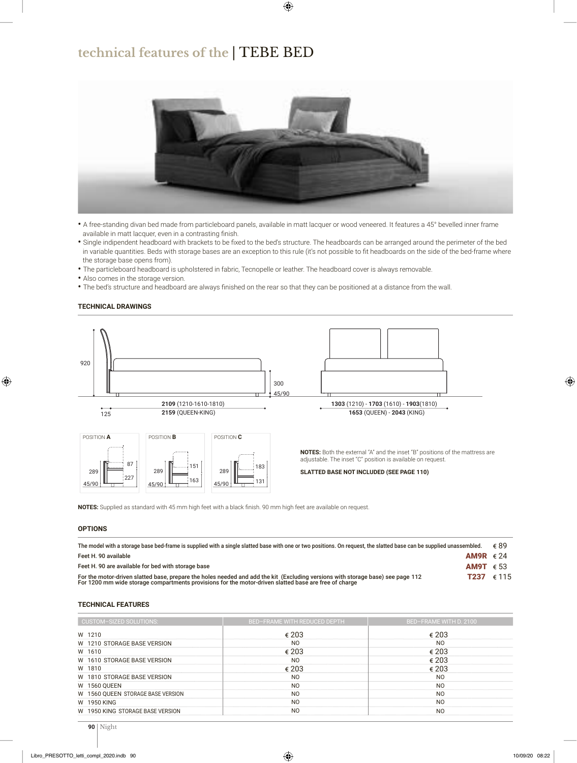## **technical features of the** | TEBE BED



- A free-standing divan bed made from particleboard panels, available in matt lacquer or wood veneered. It features a 45° bevelled inner frame available in matt lacquer, even in a contrasting finish.
- Single indipendent headboard with brackets to be fixed to the bed's structure. The headboards can be arranged around the perimeter of the bed in variable quantities. Beds with storage bases are an exception to this rule (it's not possible to fit headboards on the side of the bed-frame where the storage base opens from).
- The particleboard headboard is upholstered in fabric, Tecnopelle or leather. The headboard cover is always removable.
- Also comes in the storage version.
- The bed's structure and headboard are always finished on the rear so that they can be positioned at a distance from the wall.



**TECHNICAL DRAWINGS**

**NOTES:** Supplied as standard with 45 mm high feet with a black finish. 90 mm high feet are available on request.

#### **OPTIONS**

| The model with a storage base bed-frame is supplied with a single slatted base with one or two positions. On request, the slatted base can be supplied unassembled.                                                                      | ∉ ԶԳ               |
|------------------------------------------------------------------------------------------------------------------------------------------------------------------------------------------------------------------------------------------|--------------------|
| Feet H. 90 available                                                                                                                                                                                                                     | AM9R $\epsilon$ 24 |
| Feet H. 90 are available for bed with storage base                                                                                                                                                                                       | AM9T $\epsilon$ 53 |
| For the motor-driven slatted base, prepare the holes needed and add the kit (Excluding versions with storage base) see page 112<br>For 1200 mm wide storage compartments provisions for the motor-driven slatted base are free of charge | <b>T237</b> € 115  |

#### **TECHNICAL FEATURES**

| <b>CUSTOM-SIZED SOLUTIONS:</b>    | <b>BED-FRAME WITH REDUCED DEPTH</b> | BED-FRAME WITH D. 2100 |  |  |  |
|-----------------------------------|-------------------------------------|------------------------|--|--|--|
| W 1210                            | € 203                               | € 203                  |  |  |  |
| W 1210 STORAGE BASE VERSION       | N <sub>O</sub>                      | N <sub>O</sub>         |  |  |  |
| W 1610                            | € 203                               | € 203                  |  |  |  |
| W 1610 STORAGE BASE VERSION       | N <sub>O</sub>                      | € 203                  |  |  |  |
| W 1810                            | € 203                               | $\epsilon$ 203         |  |  |  |
| W 1810 STORAGE BASE VERSION       | N <sub>O</sub>                      | N <sub>O</sub>         |  |  |  |
| <b>W 1560 QUEEN</b>               | N <sub>O</sub>                      | N <sub>O</sub>         |  |  |  |
| W 1560 QUEEN STORAGE BASE VERSION | N <sub>O</sub>                      | N <sub>O</sub>         |  |  |  |
| W 1950 KING                       | N <sub>O</sub>                      | N <sub>O</sub>         |  |  |  |
| W 1950 KING STORAGE BASE VERSION  | N <sub>O</sub>                      | N <sub>O</sub>         |  |  |  |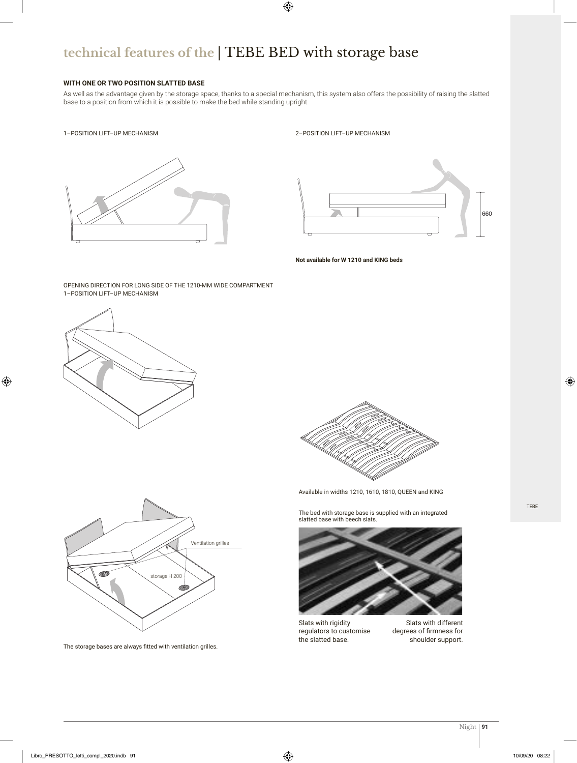# **technical features of the** | TEBE BED with storage base

### **WITH ONE OR TWO POSITION SLATTED BASE**

As well as the advantage given by the storage space, thanks to a special mechanism, this system also offers the possibility of raising the slatted base to a position from which it is possible to make the bed while standing upright.

### 1–POSITION LIFT–UP MECHANISM



#### 2–POSITION LIFT–UP MECHANISM



**Not available for W 1210 and KING beds**

#### 1–POSITION LIFT–UP MECHANISM OPENING DIRECTION FOR LONG SIDE OF THE 1210-MM WIDE COMPARTMENT





The storage bases are always fitted with ventilation grilles.



Available in widths 1210, 1610, 1810, QUEEN and KING

The bed with storage base is supplied with an integrated slatted base with beech slats.



Slats with rigidity regulators to customise the slatted base.

Slats with different degrees of firmness for shoulder support.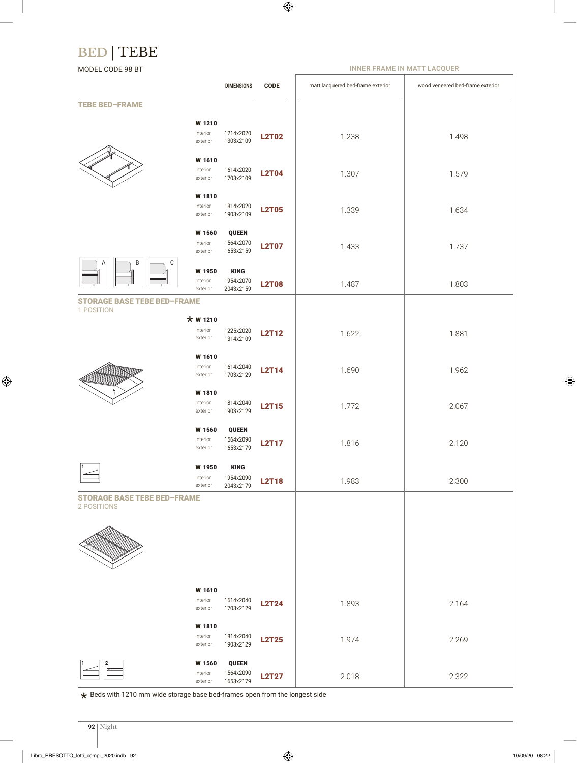# **BED** | TEBE

MODEL CODE 98 BT

INNER FRAME IN MATT LACQUER

|                                                   |                                  | <b>DIMENSIONS</b>                      | <b>CODE</b>  | matt lacquered bed-frame exterior | wood veneered bed-frame exterior |  |  |  |
|---------------------------------------------------|----------------------------------|----------------------------------------|--------------|-----------------------------------|----------------------------------|--|--|--|
| <b>TEBE BED-FRAME</b>                             |                                  |                                        |              |                                   |                                  |  |  |  |
|                                                   | W 1210<br>interior<br>exterior   | 1214x2020<br>1303x2109                 | <b>L2T02</b> | 1.238                             | 1.498                            |  |  |  |
|                                                   | W 1610<br>interior<br>exterior   | 1614x2020<br>1703x2109                 | <b>L2T04</b> | 1.307                             | 1.579                            |  |  |  |
|                                                   | W 1810<br>interior<br>exterior   | 1814x2020<br>1903x2109                 | <b>L2T05</b> | 1.339                             | 1.634                            |  |  |  |
|                                                   | W 1560<br>interior<br>exterior   | <b>QUEEN</b><br>1564x2070<br>1653x2159 | <b>L2T07</b> | 1.433                             | 1.737                            |  |  |  |
| B<br>C<br>Α                                       | W 1950<br>interior<br>exterior   | <b>KING</b><br>1954x2070<br>2043x2159  | <b>L2T08</b> | 1.487                             | 1.803                            |  |  |  |
| <b>STORAGE BASE TEBE BED-FRAME</b><br>1 POSITION  |                                  |                                        |              |                                   |                                  |  |  |  |
|                                                   | * W 1210<br>interior<br>exterior | 1225x2020<br>1314x2109                 | <b>L2T12</b> | 1.622                             | 1.881                            |  |  |  |
|                                                   | W 1610<br>interior<br>exterior   | 1614x2040<br>1703x2129                 | <b>L2T14</b> | 1.690                             | 1.962                            |  |  |  |
|                                                   | W 1810<br>interior<br>exterior   | 1814x2040<br>1903x2129                 | <b>L2T15</b> | 1.772                             | 2.067                            |  |  |  |
|                                                   | W 1560<br>interior<br>exterior   | <b>QUEEN</b><br>1564x2090<br>1653x2179 | <b>L2T17</b> | 1.816                             | 2.120                            |  |  |  |
|                                                   | W 1950<br>interior<br>exterior   | <b>KING</b><br>1954x2090<br>2043x2179  | <b>L2T18</b> | 1.983                             | 2.300                            |  |  |  |
| <b>STORAGE BASE TEBE BED-FRAME</b><br>2 POSITIONS |                                  |                                        |              |                                   |                                  |  |  |  |
|                                                   |                                  |                                        |              |                                   |                                  |  |  |  |
|                                                   | W 1610<br>interior<br>exterior   | 1614x2040<br>1703x2129                 | <b>L2T24</b> | 1.893                             | 2.164                            |  |  |  |
|                                                   | W 1810<br>interior<br>exterior   | 1814x2040<br>1903x2129                 | <b>L2T25</b> | 1.974                             | 2.269                            |  |  |  |
| 2                                                 | W 1560<br>interior<br>exterior   | <b>QUEEN</b><br>1564x2090<br>1653x2179 | <b>L2T27</b> | 2.018                             | 2.322                            |  |  |  |

 $\bigstar$  Beds with 1210 mm wide storage base bed-frames open from the longest side